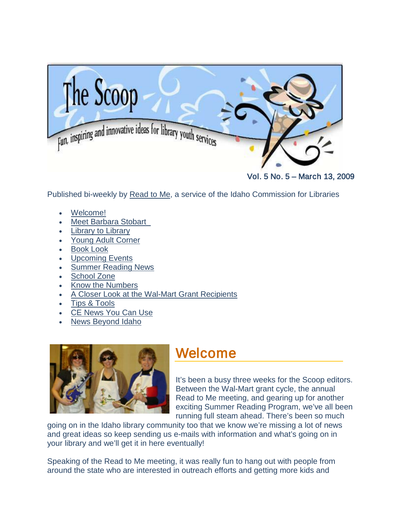<span id="page-0-0"></span>

Vol. 5 No. 5 – March 13, 2009

Published bi-weekly by [Read to Me,](http://libraries.idaho.gov/readtome) a service of the Idaho Commission for Libraries

- [Welcome!](#page-0-0)
- Meet [Barbara Stobart](#page-1-0)
- **[Library to Library](#page-2-0)**
- [Young Adult Corner](#page-3-0)
- **[Book Look](#page-3-1)**
- [Upcoming Events](#page-7-0)
- [Summer Reading News](#page-10-0)
- [School Zone](#page-12-0)
- [Know the Numbers](#page-14-0)
- [A Closer Look at the Wal-Mart Grant Recipients](#page-14-1)
- [Tips & Tools](#page-21-0)
- **[CE News You Can Use](#page-21-1)**
- [News Beyond Idaho](#page-22-0)



### Welcome

It's been a busy three weeks for the Scoop editors. Between the Wal-Mart grant cycle, the annual Read to Me meeting, and gearing up for another exciting Summer Reading Program, we've all been running full steam ahead. There's been so much

going on in the Idaho library community too that we know we're missing a lot of news and great ideas so keep sending us e-mails with information and what's going on in your library and we'll get it in here eventually!

Speaking of the Read to Me meeting, it was really fun to hang out with people from around the state who are interested in outreach efforts and getting more kids and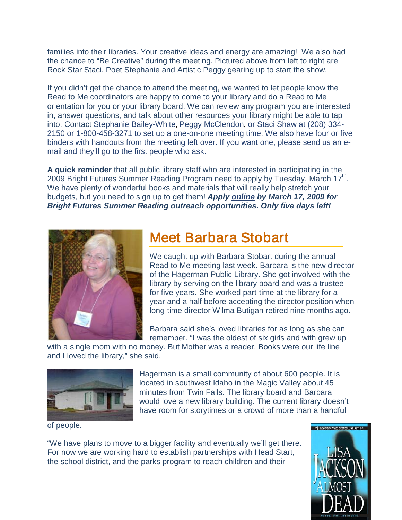<span id="page-1-0"></span>families into their libraries. Your creative ideas and energy are amazing! We also had the chance to "Be Creative" during the meeting. Pictured above from left to right are Rock Star Staci, Poet Stephanie and Artistic Peggy gearing up to start the show.

If you didn't get the chance to attend the meeting, we wanted to let people know the Read to Me coordinators are happy to come to your library and do a Read to Me orientation for you or your library board. We can review any program you are interested in, answer questions, and talk about other resources your library might be able to tap into. Contact [Stephanie Bailey-White](http://libraries.idaho.gov/contact/Stephanie%2BBailey-White%2B-%2BProjects%2BCoordinator), [Peggy McClendon](http://libraries.idaho.gov/contact/Peggy%2BMcClendon%2B-%2BReading%2Band%2BLiteracy%2BCoordinator), or [Staci Shaw](mailto:staci.shaw@libraries.idaho.gov) at (208) 334- 2150 or 1-800-458-3271 to set up a one-on-one meeting time. We also have four or five binders with handouts from the meeting left over. If you want one, please send us an email and they'll go to the first people who ask.

**A quick reminder** that all public library staff who are interested in participating in the 2009 Bright Futures Summer Reading Program need to apply by Tuesday, March 17<sup>th</sup>. We have plenty of wonderful books and materials that will really help stretch your budgets, but you need to sign up to get them! *Apply [online](http://libraries.idaho.gov/page/bright-futures-online-application) by March 17, 2009 for Bright Futures Summer Reading outreach opportunities. Only five days left!*



### Meet Barbara Stobart

We caught up with Barbara Stobart during the annual Read to Me meeting last week. Barbara is the new director of the Hagerman Public Library. She got involved with the library by serving on the library board and was a trustee for five years. She worked part-time at the library for a year and a half before accepting the director position when long-time director Wilma Butigan retired nine months ago.

Barbara said she's loved libraries for as long as she can remember. "I was the oldest of six girls and with grew up

with a single mom with no money. But Mother was a reader. Books were our life line and I loved the library," she said.



Hagerman is a small community of about 600 people. It is located in southwest Idaho in the Magic Valley about 45 minutes from Twin Falls. The library board and Barbara would love a new library building. The current library doesn't have room for storytimes or a crowd of more than a handful

of people.

"We have plans to move to a bigger facility and eventually we'll get there. For now we are working hard to establish partnerships with Head Start, the school district, and the parks program to reach children and their

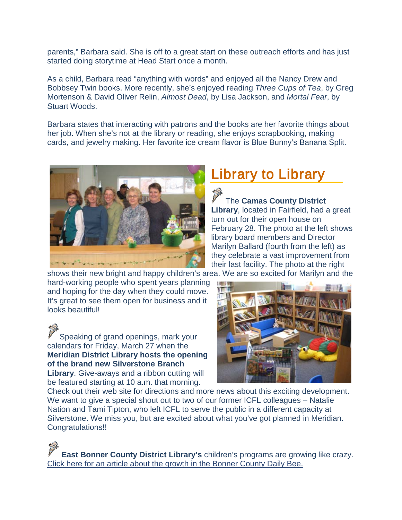<span id="page-2-0"></span>parents," Barbara said. She is off to a great start on these outreach efforts and has just started doing storytime at Head Start once a month.

As a child, Barbara read "anything with words" and enjoyed all the Nancy Drew and Bobbsey Twin books. More recently, she's enjoyed reading *Three Cups of Tea*, by Greg Mortenson & David Oliver Relin, *Almost Dead*, by Lisa Jackson, and *Mortal Fear*, by Stuart Woods.

Barbara states that interacting with patrons and the books are her favorite things about her job. When she's not at the library or reading, she enjoys scrapbooking, making cards, and jewelry making. Her favorite ice cream flavor is Blue Bunny's Banana Split.



### Library to Library

### The **Camas County District**

**Library**, located in Fairfield, had a great turn out for their open house on February 28. The photo at the left shows library board members and Director Marilyn Ballard (fourth from the left) as they celebrate a vast improvement from their last facility. The photo at the right

shows their new bright and happy children's area. We are so excited for Marilyn and the hard-working people who spent years planning **I** in

and hoping for the day when they could move. It's great to see them open for business and it looks beautiful!

Speaking of grand openings, mark your calendars for Friday, March 27 when the **Meridian District Library hosts the opening of the brand new Silverstone Branch Library**. Give-aways and a ribbon cutting will be featured starting at 10 a.m. that morning.



Check out their web site for directions and more news about this exciting development. We want to give a special shout out to two of our former ICFL colleagues – Natalie Nation and Tami Tipton, who left ICFL to serve the public in a different capacity at Silverstone. We miss you, but are excited about what you've got planned in Meridian. Congratulations!!

**East Bonner County District Library's** children's programs are growing like crazy. [Click here for an article about the growth](http://www.bonnercountydailybee.com/articles/2009/02/17/news/doc49978c566bf2d808080918.txt) in the Bonner County Daily Bee.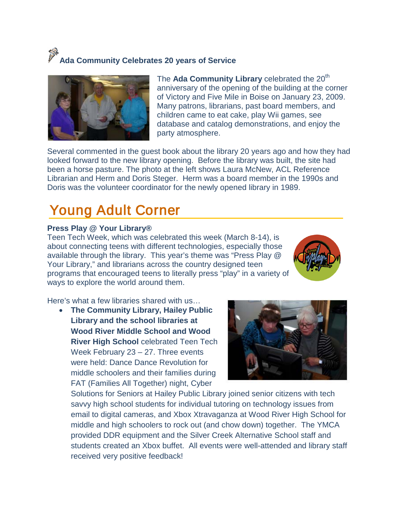# **Ada Community Celebrates 20 years of Service**



<span id="page-3-0"></span>The **Ada Community Library** celebrated the 20<sup>th</sup> anniversary of the opening of the building at the corner of Victory and Five Mile in Boise on January 23, 2009. Many patrons, librarians, past board members, and children came to eat cake, play Wii games, see database and catalog demonstrations, and enjoy the party atmosphere.

Several commented in the guest book about the library 20 years ago and how they had looked forward to the new library opening. Before the library was built, the site had been a horse pasture. The photo at the left shows Laura McNew, ACL Reference Librarian and Herm and Doris Steger. Herm was a board member in the 1990s and Doris was the volunteer coordinator for the newly opened library in 1989.

### Young Adult Corner

### <span id="page-3-1"></span>**Press Play @ Your Library®**

Teen Tech Week, which was celebrated this week (March 8-14), is about connecting teens with different technologies, especially those available through the library. This year's theme was "Press Play @ Your Library," and librarians across the country designed teen programs that encouraged teens to literally press "play" in a variety of ways to explore the world around them.



Here's what a few libraries shared with us…

• **The Community Library, Hailey Public Library and the school libraries at Wood River Middle School and Wood River High School** celebrated Teen Tech Week February 23 – 27. Three events were held: Dance Dance Revolution for middle schoolers and their families during FAT (Families All Together) night, Cyber



Solutions for Seniors at Hailey Public Library joined senior citizens with tech savvy high school students for individual tutoring on technology issues from email to digital cameras, and Xbox Xtravaganza at Wood River High School for middle and high schoolers to rock out (and chow down) together. The YMCA provided DDR equipment and the Silver Creek Alternative School staff and students created an Xbox buffet. All events were well-attended and library staff received very positive feedback!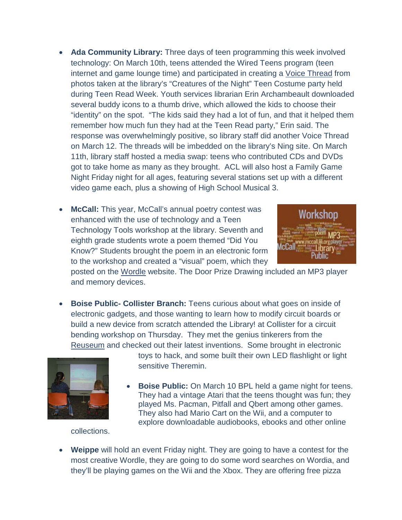- **Ada Community Library:** Three days of teen programming this week involved technology: On March 10th, teens attended the Wired Teens program (teen internet and game lounge time) and participated in creating a [Voice Thread](http://voicethread.com/) from photos taken at the library's "Creatures of the Night" Teen Costume party held during Teen Read Week. Youth services librarian Erin Archambeault downloaded several buddy icons to a thumb drive, which allowed the kids to choose their "identity" on the spot. "The kids said they had a lot of fun, and that it helped them remember how much fun they had at the Teen Read party," Erin said. The response was overwhelmingly positive, so library staff did another Voice Thread on March 12. The threads will be imbedded on the library's Ning site. On March 11th, library staff hosted a media swap: teens who contributed CDs and DVDs got to take home as many as they brought. ACL will also host a Family Game Night Friday night for all ages, featuring several stations set up with a different video game each, plus a showing of High School Musical 3.
- McCall: This year, McCall's annual poetry contest was enhanced with the use of technology and a Teen Technology Tools workshop at the library. Seventh and eighth grade students wrote a poem themed "Did You Know?" Students brought the poem in an electronic form to the workshop and created a "visual" poem, which they



posted on the [Wordle](http://www.wordle.net/) website. The Door Prize Drawing included an MP3 player and memory devices.

• **Boise Public- Collister Branch:** Teens curious about what goes on inside of electronic gadgets, and those wanting to learn how to modify circuit boards or build a new device from scratch attended the Library! at Collister for a circuit bending workshop on Thursday. They met the genius tinkerers from the [Reuseum](http://www.reuseum.com/) and checked out their latest inventions. Some brought in electronic



toys to hack, and some built their own LED flashlight or light sensitive Theremin.

**Boise Public:** On March 10 BPL held a game night for teens. They had a vintage Atari that the teens thought was fun; they played Ms. Pacman, Pitfall and Qbert among other games. They also had Mario Cart on the Wii, and a computer to explore downloadable audiobooks, ebooks and other online

collections.

• **Weippe** will hold an event Friday night. They are going to have a contest for the most creative Wordle, they are going to do some word searches on Wordia, and they'll be playing games on the Wii and the Xbox. They are offering free pizza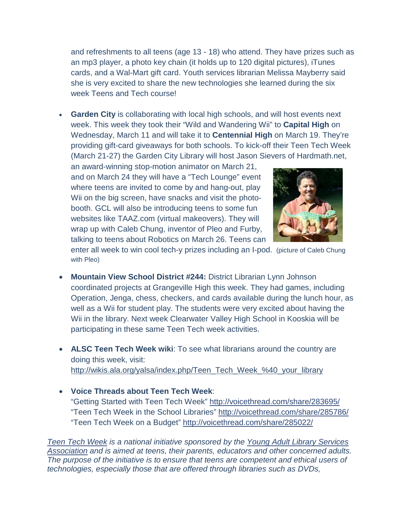and refreshments to all teens (age 13 - 18) who attend. They have prizes such as an mp3 player, a photo key chain (it holds up to 120 digital pictures), iTunes cards, and a Wal-Mart gift card. Youth services librarian Melissa Mayberry said she is very excited to share the new technologies she learned during the six week Teens and Tech course!

• **Garden City** is collaborating with local high schools, and will host events next week. This week they took their "Wild and Wandering Wii" to **Capital High** on Wednesday, March 11 and will take it to **Centennial High** on March 19. They're providing gift-card giveaways for both schools. To kick-off their Teen Tech Week (March 21-27) the Garden City Library will host Jason Sievers of Hardmath.net,

an award-winning stop-motion animator on March 21, and on March 24 they will have a "Tech Lounge" event where teens are invited to come by and hang-out, play Wii on the big screen, have snacks and visit the photobooth. GCL will also be introducing teens to some fun websites like TAAZ.com (virtual makeovers). They will wrap up with Caleb Chung, inventor of Pleo and Furby, talking to teens about Robotics on March 26. Teens can



enter all week to win cool tech-y prizes including an I-pod. (picture of Caleb Chung with Pleo)

- **Mountain View School District #244:** District Librarian Lynn Johnson coordinated projects at Grangeville High this week. They had games, including Operation, Jenga, chess, checkers, and cards available during the lunch hour, as well as a Wii for student play. The students were very excited about having the Wii in the library. Next week Clearwater Valley High School in Kooskia will be participating in these same Teen Tech week activities.
- **ALSC Teen Tech Week wiki**: To see what librarians around the country are doing this week, visit: [http://wikis.ala.org/yalsa/index.php/Teen\\_Tech\\_Week\\_%40\\_your\\_library](http://wikis.ala.org/yalsa/index.php/Teen_Tech_Week_%40_your_library)
- **Voice Threads about Teen Tech Week**: "Getting Started with Teen Tech Week"<http://voicethread.com/share/283695/> "Teen Tech Week in the School Libraries"<http://voicethread.com/share/285786/> "Teen Tech Week on a Budget"<http://voicethread.com/share/285022/>

*[Teen Tech Week](http://www.ala.org/ala/mgrps/divs/yalsa/teentechweek/ttw09/home.cfm) is a national initiative sponsored by the [Young Adult Library Services](http://www.ala.org/ala/mgrps/divs/yalsa/yalsa.cfm)  [Association](http://www.ala.org/ala/mgrps/divs/yalsa/yalsa.cfm) and is aimed at teens, their parents, educators and other concerned adults. The purpose of the initiative is to ensure that teens are competent and ethical users of technologies, especially those that are offered through libraries such as DVDs,*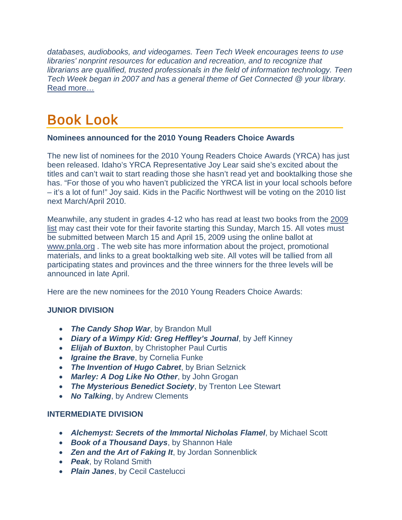*databases, audiobooks, and videogames. Teen Tech Week encourages teens to use libraries' nonprint resources for education and recreation, and to recognize that librarians are qualified, trusted professionals in the field of information technology. Teen Tech Week began in 2007 and has a general theme of Get Connected @ your library.* [Read more…](http://www.ala.org/ala/mgrps/divs/yalsa/teentechweek/ttw09/home.cfm)

### Book Look

#### **Nominees announced for the 2010 Young Readers Choice Awards**

The new list of nominees for the 2010 Young Readers Choice Awards (YRCA) has just been released. Idaho's YRCA Representative Joy Lear said she's excited about the titles and can't wait to start reading those she hasn't read yet and booktalking those she has. "For those of you who haven't publicized the YRCA list in your local schools before – it's a lot of fun!" Joy said. Kids in the Pacific Northwest will be voting on the 2010 list next March/April 2010.

Meanwhile, any student in grades 4-12 who has read at least two books from the [2009](http://www.pnla.org/yrca/2009nominees.htm)  [list](http://www.pnla.org/yrca/2009nominees.htm) may cast their vote for their favorite starting this Sunday, March 15. All votes must be submitted between March 15 and April 15, 2009 using the online ballot at [www.pnla.org](http://www.pnla.org/) . The web site has more information about the project, promotional materials, and links to a great booktalking web site. All votes will be tallied from all participating states and provinces and the three winners for the three levels will be announced in late April.

Here are the new nominees for the 2010 Young Readers Choice Awards:

### **JUNIOR DIVISION**

- *The Candy Shop War*, by Brandon Mull
- *Diary of a Wimpy Kid: Greg Heffley's Journal*, by Jeff Kinney
- *Elijah of Buxton*, by Christopher Paul Curtis
- *Igraine the Brave*, by Cornelia Funke
- *The Invention of Hugo Cabret*, by Brian Selznick
- *Marley: A Dog Like No Other*, by John Grogan
- *The Mysterious Benedict Society*, by Trenton Lee Stewart
- *No Talking*, by Andrew Clements

### **INTERMEDIATE DIVISION**

- *Alchemyst: Secrets of the Immortal Nicholas Flamel*, by Michael Scott
- *Book of a Thousand Days*, by Shannon Hale
- *Zen and the Art of Faking It*, by [Jordan Sonnenblick](http://www.amazon.com/exec/obidos/search-handle-url/ref=ntt_athr_dp_sr_1?%255Fencoding=UTF8&search-type=ss&index=books&field-author=Jordan%20Sonnenblick)
- *Peak*, by Roland Smith
- *Plain Janes*, by Cecil Castelucci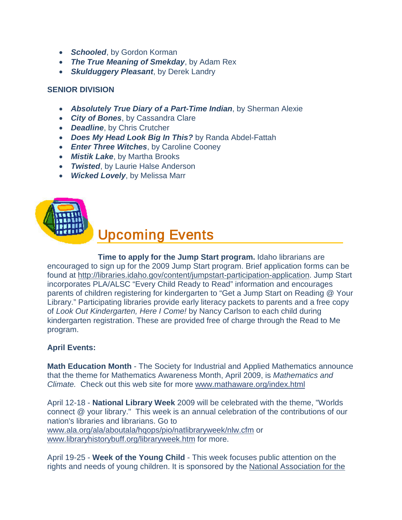- <span id="page-7-0"></span>• *Schooled*, by Gordon Korman
- *The True Meaning of Smekday*, by Adam Rex
- *Skulduggery Pleasant*, by Derek Landry

#### **SENIOR DIVISION**

- *Absolutely True Diary of a Part-Time Indian*, by Sherman Alexie
- *City of Bones*, by Cassandra Clare
- *Deadline*, by Chris Crutcher
- *Does My Head Look Big In This?* by Randa Abdel-Fattah
- *Enter Three Witches*, by Caroline Cooney
- *Mistik Lake*, by Martha Brooks
- *Twisted*, by Laurie Halse Anderson
- *Wicked Lovely*, by Melissa Marr



### Upcoming Events

#### **Time to apply for the Jump Start program.** Idaho librarians are encouraged to sign up for the 2009 Jump Start program. Brief application forms can be found at [http://libraries.idaho.gov/content/jumpstart-participation-application.](http://libraries.idaho.gov/content/jumpstart-participation-application) Jump Start incorporates PLA/ALSC "Every Child Ready to Read" information and encourages parents of children registering for kindergarten to "Get a Jump Start on Reading @ Your Library." Participating libraries provide early literacy packets to parents and a free copy of *Look Out Kindergarten, Here I Come!* by Nancy Carlson to each child during kindergarten registration. These are provided free of charge through the Read to Me program.

### **April Events:**

**Math Education Month** - The Society for Industrial and Applied Mathematics announce that the theme for Mathematics Awareness Month, April 2009, is *Mathematics and Climate.* Check out this web site for more [www.mathaware.org/index.html](http://www.mathaware.org/index.html)

April 12-18 - **National Library Week** 2009 will be celebrated with the theme, "Worlds connect @ your library." This week is an annual celebration of the contributions of our nation's libraries and librarians. Go to [www.ala.org/ala/aboutala/hqops/pio/natlibraryweek/nlw.cfm](http://www.ala.org/ala/aboutala/hqops/pio/natlibraryweek/nlw.cfm) or [www.libraryhistorybuff.org/libraryweek.htm](http://www.libraryhistorybuff.org/libraryweek.htm) for more.

April 19-25 - **Week of the Young Child** - This week focuses public attention on the rights and needs of young children. It is sponsored by the [National Association for the](http://www.naeyc.org/)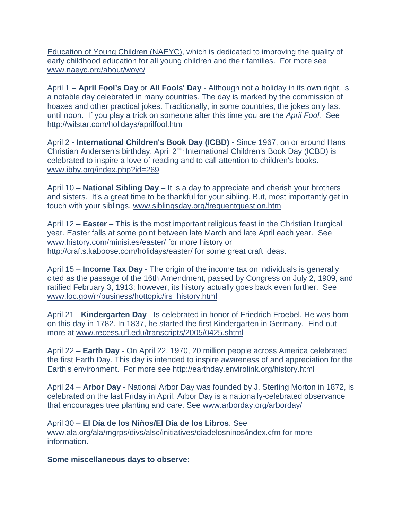Education of Young Children (NAEYC), which is dedicated to improving the quality of early childhood education for all young children and their families. For more see [www.naeyc.org/about/woyc/](http://www.naeyc.org/about/woyc/)

April 1 – **April Fool's Day** or **All Fools' Day** - Although not a holiday in its own right, is a notable day celebrated in many countries. The day is marked by the commission of hoaxes and other practical jokes. Traditionally, in some countries, the jokes only last until noon. If you play a trick on someone after this time you are the *April Fool.* See <http://wilstar.com/holidays/aprilfool.htm>

April 2 - **International Children's Book Day (ICBD)** - Since 1967, on or around Hans Christian Andersen's birthday, April 2<sup>nd,</sup> International Children's Book Day (ICBD) is celebrated to inspire a love of reading and to call attention to children's books. [www.ibby.org/index.php?id=269](http://www.ibby.org/index.php?id=269)

April 10 – **National Sibling Day** – It is a day to appreciate and cherish your brothers and sisters. It's a great time to be thankful for your sibling. But, most importantly get in touch with your siblings. [www.siblingsday.org/frequentquestion.htm](http://www.siblingsday.org/frequentquestion.htm)

April 12 – **Easter** – This is the most important religious feast in the Christian liturgical year. Easter falls at some point between late March and late April each year. See [www.history.com/minisites/easter/](http://www.history.com/minisites/easter/) for more history or <http://crafts.kaboose.com/holidays/easter/> for some great craft ideas.

April 15 – **Income Tax Day** - The origin of the income tax on individuals is generally cited as the passage of the 16th Amendment, passed by Congress on July 2, 1909, and ratified February 3, 1913; however, its history actually goes back even further. See [www.loc.gov/rr/business/hottopic/irs\\_history.html](http://www.loc.gov/rr/business/hottopic/irs_history.html)

April 21 - **Kindergarten Day** - Is celebrated in honor of Friedrich Froebel. He was born on this day in 1782. In 1837, he started the first Kindergarten in Germany. Find out more at [www.recess.ufl.edu/transcripts/2005/0425.shtml](http://www.recess.ufl.edu/transcripts/2005/0425.shtml)

April 22 – **Earth Day** - On April 22, 1970, 20 million people across America celebrated the first Earth Day. This day is intended to inspire awareness of and appreciation for the Earth's environment. For more see<http://earthday.envirolink.org/history.html>

April 24 – **Arbor Day** - National Arbor Day was founded by J. Sterling Morton in 1872, is celebrated on the last Friday in April. Arbor Day is a nationally-celebrated observance that encourages tree planting and care. See [www.arborday.org/arborday/](http://www.arborday.org/arborday/) 

April 30 – **El Día de los Niños/El Día de los Libros**. See [www.ala.org/ala/mgrps/divs/alsc/initiatives/diadelosninos/index.cfm](http://www.ala.org/ala/mgrps/divs/alsc/initiatives/diadelosninos/index.cfm) for more information.

**Some miscellaneous days to observe:**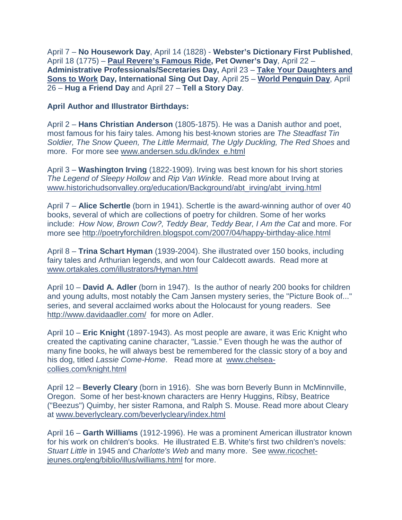April 7 – **No Housework Day**, April 14 (1828) - **Webster's Dictionary First Published**, April 18 (1775) – **[Paul Revere's Famous Ride,](http://www.paulreverehouse.org/ride/) Pet Owner's Day**, April 22 – **Administrative Professionals/Secretaries Day,** April 23 – **[Take Your Daughters and](http://www.daughtersandsonstowork.org/wmspage.cfm?parm1=485)  [Sons to Work](http://www.daughtersandsonstowork.org/wmspage.cfm?parm1=485) Day, International Sing Out Day**, April 25 – **[World Penguin Day](http://www.nowpublic.com/environment/world-penguin-day)**, April 26 – **Hug a Friend Day** and April 27 – **Tell a Story Day**.

#### **April Author and Illustrator Birthdays:**

April 2 – **Hans Christian Anderson** (1805-1875). He was a Danish author and poet, most famous for his fairy tales. Among his best-known stories are *The Steadfast Tin Soldier, The Snow Queen, The Little Mermaid, The Ugly Duckling, The Red Shoes* and more. For more see [www.andersen.sdu.dk/index\\_e.html](http://www.andersen.sdu.dk/index_e.html)

April 3 – **Washington Irving** (1822-1909). Irving was best known for his short stories *The Legend of Sleepy Hollow* and *Rip Van Winkle*. Read more about Irving at [www.historichudsonvalley.org/education/Background/abt\\_irving/abt\\_irving.html](http://www.historichudsonvalley.org/education/Background/abt_irving/abt_irving.html)

April 7 – **Alice Schertle** (born in 1941). Schertle is the award-winning author of over 40 books, several of which are collections of poetry for children. Some of her works include: *How Now, Brown Cow?, Teddy Bear, Teddy Bear, I Am the Cat* and more. For more see<http://poetryforchildren.blogspot.com/2007/04/happy-birthday-alice.html>

April 8 – **Trina Schart Hyman** (1939-2004). She illustrated over 150 books, including fairy tales and Arthurian legends, and won four Caldecott awards. Read more at [www.ortakales.com/illustrators/Hyman.html](http://www.ortakales.com/illustrators/Hyman.html)

April 10 – **David A. Adler** (born in 1947). Is the author of nearly 200 books for children and young adults, most notably the Cam Jansen mystery series, the "Picture Book of..." series, and several acclaimed works about the Holocaust for young readers. See <http://www.davidaadler.com/>for more on Adler.

April 10 – **Eric Knight** (1897-1943). As most people are aware, it was Eric Knight who created the captivating canine character, "Lassie." Even though he was the author of many fine books, he will always best be remembered for the classic story of a boy and his dog, titled *Lassie Come-Home*. Read more at [www.chelsea](http://www.chelsea-collies.com/knight.html)[collies.com/knight.html](http://www.chelsea-collies.com/knight.html)

April 12 – **Beverly Cleary** (born in 1916). She was born Beverly Bunn in McMinnville, Oregon. Some of her best-known characters are Henry Huggins, Ribsy, Beatrice ("Beezus") Quimby, her sister Ramona, and Ralph S. Mouse. Read more about Cleary at [www.beverlycleary.com/beverlycleary/index.html](http://www.beverlycleary.com/beverlycleary/index.html) 

April 16 – **Garth Williams** (1912-1996). He was a prominent American illustrator known for his work on children's books. He illustrated E.B. White's first two children's novels: *Stuart Little* in 1945 and *Charlotte's Web* and many more.See [www.ricochet](http://www.ricochet-jeunes.org/eng/biblio/illus/williams.html)[jeunes.org/eng/biblio/illus/williams.html](http://www.ricochet-jeunes.org/eng/biblio/illus/williams.html) for more.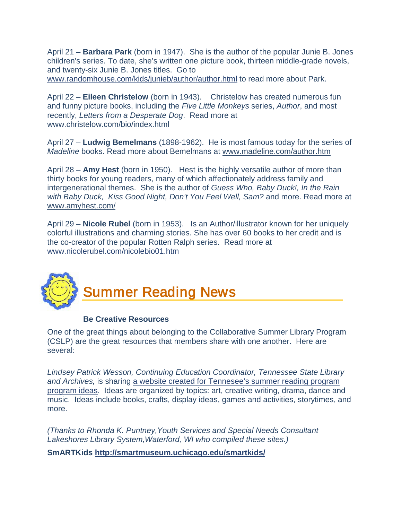<span id="page-10-0"></span>April 21 – **Barbara Park** (born in 1947). She is the author of the popular Junie B. Jones children's series. To date, she's written one picture book, thirteen middle-grade novels, and twenty-six Junie B. Jones titles. Go to [www.randomhouse.com/kids/junieb/author/author.html](http://www.randomhouse.com/kids/junieb/author/author.html) to read more about Park.

April 22 – **Eileen Christelow** (born in 1943). Christelow has created numerous fun and funny picture books, including the *Five Little Monkeys* series, *Author*, and most recently, *Letters from a Desperate Dog*. Read more at [www.christelow.com/bio/index.html](http://www.christelow.com/bio/index.html)

April 27 – **Ludwig Bemelmans** (1898-1962). He is most famous today for the series of *Madeline* books. Read more about Bemelmans at [www.madeline.com/author.htm](http://www.madeline.com/author.htm)

April 28 – **Amy Hest** (born in 1950). Hest is the highly versatile author of more than thirty books for young readers, many of which affectionately address family and intergenerational themes. She is the author of *Guess Who, Baby Duck!, In the Rain with Baby Duck, Kiss Good Night, Don't You Feel Well, Sam?* and more. Read more at [www.amyhest.com/](http://www.amyhest.com/)

April 29 – **Nicole Rubel** (born in 1953). Is an Author/illustrator known for her uniquely colorful illustrations and charming stories. She has over 60 books to her credit and is the co-creator of the popular Rotten Ralph series. Read more at [www.nicolerubel.com/nicolebio01.htm](http://www.nicolerubel.com/nicolebio01.htm)



#### **Be Creative Resources**

One of the great things about belonging to the Collaborative Summer Library Program (CSLP) are the great resources that members share with one another. Here are several:

*Lindsey Patrick Wesson, Continuing Education Coordinator, Tennessee State Library and Archives,* is sharing [a website created for Tennesee's summer reading program](http://sites.google.com/site/tennesseesrp/)  [program ideas.](http://sites.google.com/site/tennesseesrp/) Ideas are organized by topics: art, creative writing, drama, dance and music. Ideas include books, crafts, display ideas, games and activities, storytimes, and more.

*(Thanks to Rhonda K. Puntney,Youth Services and Special Needs Consultant Lakeshores Library System,Waterford, WI who compiled these sites.)*

**SmARTKids<http://smartmuseum.uchicago.edu/smartkids/>**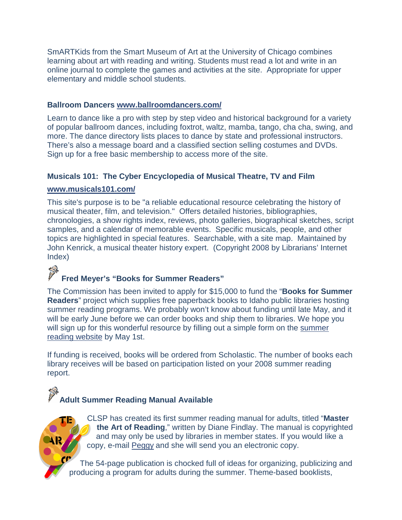SmARTKids from the Smart Museum of Art at the University of Chicago combines learning about art with reading and writing. Students must read a lot and write in an online journal to complete the games and activities at the site. Appropriate for upper elementary and middle school students.

#### **Ballroom Dancers [www.ballroomdancers.com/](http://www.ballroomdancers.com/)**

Learn to dance like a pro with step by step video and historical background for a variety of popular ballroom dances, including foxtrot, waltz, mamba, tango, cha cha, swing, and more. The dance directory lists places to dance by state and professional instructors. There's also a message board and a classified section selling costumes and DVDs. Sign up for a free basic membership to access more of the site.

#### **Musicals 101: The Cyber Encyclopedia of Musical Theatre, TV and Film**

#### **[www.musicals101.com/](http://www.musicals101.com/)**

This site's purpose is to be "a reliable educational resource celebrating the history of musical theater, film, and television." Offers detailed histories, bibliographies, chronologies, a show rights index, reviews, photo galleries, biographical sketches, script samples, and a calendar of memorable events. Specific musicals, people, and other topics are highlighted in special features. Searchable, with a site map. Maintained by John Kenrick, a musical theater history expert. (Copyright 2008 by Librarians' Internet Index)

### 学

### **Fred Meyer's "Books for Summer Readers"**

The Commission has been invited to apply for \$15,000 to fund the "**Books for Summer Readers**" project which supplies free paperback books to Idaho public libraries hosting summer reading programs. We probably won't know about funding until late May, and it will be early June before we can order books and ship them to libraries. We hope you will sign up for this wonderful resource by filling out a simple form on the summer [reading website](http://libraries.idaho.gov/landing/summer-reading) by May 1st.

If funding is received, books will be ordered from Scholastic. The number of books each library receives will be based on participation listed on your 2008 summer reading report.

### **Adult Summer Reading Manual Available**

CLSP has created its first summer reading manual for adults, titled "**Master the Art of Reading**," written by Diane Findlay. The manual is copyrighted and may only be used by libraries in member states. If you would like a copy, e-mail [Peggy](http://libraries.idaho.gov/contact/Peggy%2BMcClendon%2B-%2BReading%2Band%2BLiteracy%2BCoordinator) and she will send you an electronic copy.

The 54-page publication is chocked full of ideas for organizing, publicizing and producing a program for adults during the summer. Theme-based booklists,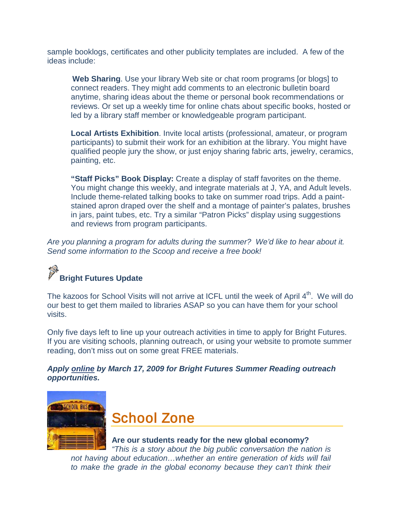<span id="page-12-0"></span>sample booklogs, certificates and other publicity templates are included. A few of the ideas include:

**Web Sharing**. Use your library Web site or chat room programs [or blogs] to connect readers. They might add comments to an electronic bulletin board anytime, sharing ideas about the theme or personal book recommendations or reviews. Or set up a weekly time for online chats about specific books, hosted or led by a library staff member or knowledgeable program participant.

**Local Artists Exhibition**. Invite local artists (professional, amateur, or program participants) to submit their work for an exhibition at the library. You might have qualified people jury the show, or just enjoy sharing fabric arts, jewelry, ceramics, painting, etc.

**"Staff Picks" Book Display:** Create a display of staff favorites on the theme. You might change this weekly, and integrate materials at J, YA, and Adult levels. Include theme-related talking books to take on summer road trips. Add a paintstained apron draped over the shelf and a montage of painter's palates, brushes in jars, paint tubes, etc. Try a similar "Patron Picks" display using suggestions and reviews from program participants.

*Are you planning a program for adults during the summer? We'd like to hear about it. Send some information to the Scoop and receive a free book!*

## **Bright Futures Update**

The kazoos for School Visits will not arrive at ICFL until the week of April 4<sup>th</sup>. We will do our best to get them mailed to libraries ASAP so you can have them for your school visits.

Only five days left to line up your outreach activities in time to apply for Bright Futures. If you are visiting schools, planning outreach, or using your website to promote summer reading, don't miss out on some great FREE materials.

*Apply [online](http://libraries.idaho.gov/page/bright-futures-online-application) by March 17, 2009 for Bright Futures Summer Reading outreach opportunities.*



School Zone

#### **Are our students ready for the new global economy?**

*"This is a story about the big public conversation the nation is not having about education…whether an entire generation of kids will fail to make the grade in the global economy because they can't think their*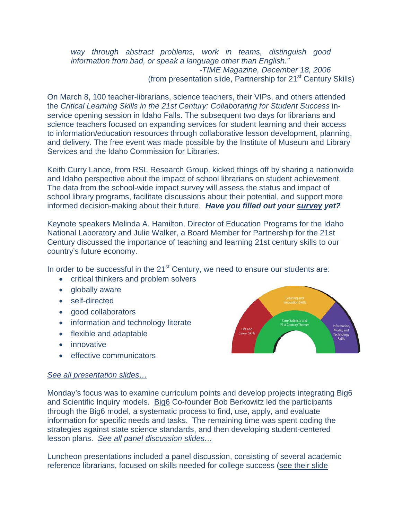*way through abstract problems, work in teams, distinguish good information from bad, or speak a language other than English." -TIME Magazine, December 18, 2006* (from presentation slide, Partnership for  $21<sup>st</sup>$  Century Skills)

On March 8, 100 teacher-librarians, science teachers, their VIPs, and others attended the *Critical Learning Skills in the 21st Century: Collaborating for Student Success* inservice opening session in Idaho Falls. The subsequent two days for librarians and science teachers focused on expanding services for student learning and their access to information/education resources through collaborative lesson development, planning, and delivery. The free event was made possible by the Institute of Museum and Library Services and the Idaho Commission for Libraries.

Keith Curry Lance, from RSL Research Group, kicked things off by sharing a nationwide and Idaho perspective about the impact of school librarians on student achievement. The data from the school-wide impact survey will assess the status and impact of school library programs, facilitate discussions about their potential, and support more informed decision-making about their future. *Have you filled out your [survey](http://libraries.idaho.gov/doc/impact-study) yet?*

Keynote speakers Melinda A. Hamilton, Director of Education Programs for the Idaho National Laboratory and Julie Walker, a Board Member for Partnership for the 21st Century discussed the importance of teaching and learning 21st century skills to our country's future economy.

In order to be successful in the 21<sup>st</sup> Century, we need to ensure our students are:

- critical thinkers and problem solvers
- globally aware
- self-directed
- good collaborators
- information and technology literate
- flexible and adaptable
- innovative
- effective communicators





Monday's focus was to examine curriculum points and develop projects integrating Big6 and Scientific Inquiry models. [Big6](http://www.big6.com/) Co-founder Bob Berkowitz led the participants through the Big6 model, a systematic process to find, use, apply, and evaluate information for specific needs and tasks. The remaining time was spent coding the strategies against state science standards, and then developing student-centered lesson plans. *[See all panel discussion slides…](http://libraries.idaho.gov/page/in-service-march-8-9-10-2009)*

Luncheon presentations included a panel discussion, consisting of several academic reference librarians, focused on skills needed for college success [\(see their slide](http://libraries.idaho.gov/files/Academic%20Panel%20Slildes%2021st%20Century.pdf)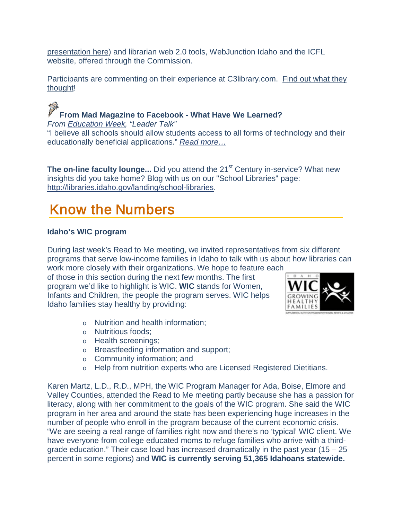presentation here ) and librarian web 2.0 tools, WebJunction Idaho and the ICFL website, offered through the Commission.

Participants are commenting on their experience at C3library.com. Find out what they [thought!](http://c3library.com/)

P **From Mad Magazine to Facebook - What Have We Learned?** *From [Education Week,](http://www.edweek.org/ew/index.html) "Leader Talk"* "I believe all schools should allow students access to all forms of technology and their educationally beneficial applications." *[Read more…](http://blogs.edweek.org/edweek/LeaderTalk/2009/03/from_mad_magazine_to_facebook_1.html)*

**The on-line faculty lounge...** Did you attend the 21<sup>st</sup> Century in-service? What new insights did you take home? Blog with us on our "School Libraries" page: [http://libraries.idaho.gov/landing/school-libraries.](http://libraries.idaho.gov/landing/school-libraries)

### <span id="page-14-0"></span>Know the Numbers

### <span id="page-14-1"></span>**Idaho's WIC program**

During last week's Read to Me meeting, we invited representatives from six different programs that serve low-income families in Idaho to talk with us about how libraries can

work more closely with their organizations. We hope to feature each of those in this section during the next few months. The first program we'd like to highlight is WIC. **WIC** stands for Women, Infants and Children, the people the program serves. WIC helps Idaho families stay healthy by providing:



- o Nutrition and health information;
- o Nutritious foods;
- o Health screenings;
- o [Breastfeeding information and support;](http://www.healthandwelfare.idaho.gov/portal/alias__Rainbow/lang__en-US/tabID__3401/DesktopDefault.aspx)
- o Community information; and
- o Help from nutrition experts who are Licensed Registered Dietitians.

Karen Martz, L.D., R.D., MPH, the WIC Program Manager for Ada, Boise, Elmore and Valley Counties, attended the Read to Me meeting partly because she has a passion for literacy, along with her commitment to the goals of the WIC program. She said the WIC program in her area and around the state has been experiencing huge increases in the number of people who enroll in the program because of the current economic crisis. "We are seeing a real range of families right now and there's no 'typical' WIC client. We have everyone from college educated moms to refuge families who arrive with a thirdgrade education." Their case load has increased dramatically in the past year  $(15 - 25)$ percent in some regions) and **WIC is currently serving 51,365 Idahoans statewide.**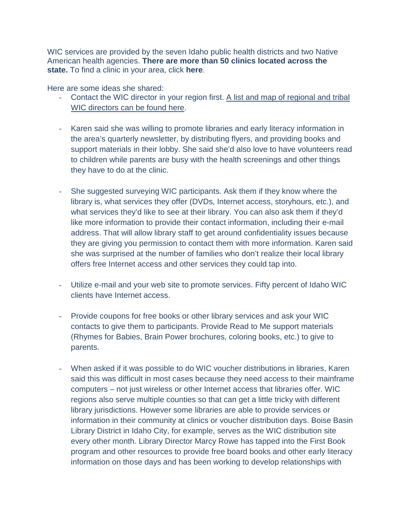WIC services are provided by the seven Idaho public health districts and two Native American health agencies. **There are more than 50 clinics located across the state.** To find a clinic in your area, click **here**.

Here are some ideas she shared:

- Contact the WIC director in your region first. [A list and map of regional and tribal](http://www.healthandwelfare.idaho.gov/_Rainbow/Documents/food/local%20clinics.pdf)  [WIC directors can be found here.](http://www.healthandwelfare.idaho.gov/_Rainbow/Documents/food/local%20clinics.pdf)
- Karen said she was willing to promote libraries and early literacy information in the area's quarterly newsletter, by distributing flyers, and providing books and support materials in their lobby. She said she'd also love to have volunteers read to children while parents are busy with the health screenings and other things they have to do at the clinic.
- She suggested surveying WIC participants. Ask them if they know where the library is, what services they offer (DVDs, Internet access, storyhours, etc.), and what services they'd like to see at their library. You can also ask them if they'd like more information to provide their contact information, including their e-mail address. That will allow library staff to get around confidentiality issues because they are giving you permission to contact them with more information. Karen said she was surprised at the number of families who don't realize their local library offers free Internet access and other services they could tap into.
- Utilize e-mail and your web site to promote services. Fifty percent of Idaho WIC clients have Internet access.
- Provide coupons for free books or other library services and ask your WIC contacts to give them to participants. Provide Read to Me support materials (Rhymes for Babies, Brain Power brochures, coloring books, etc.) to give to parents.
- When asked if it was possible to do WIC voucher distributions in libraries, Karen said this was difficult in most cases because they need access to their mainframe computers – not just wireless or other Internet access that libraries offer. WIC regions also serve multiple counties so that can get a little tricky with different library jurisdictions. However some libraries are able to provide services or information in their community at clinics or voucher distribution days. Boise Basin Library District in Idaho City, for example, serves as the WIC distribution site every other month. Library Director Marcy Rowe has tapped into the First Book program and other resources to provide free board books and other early literacy information on those days and has been working to develop relationships with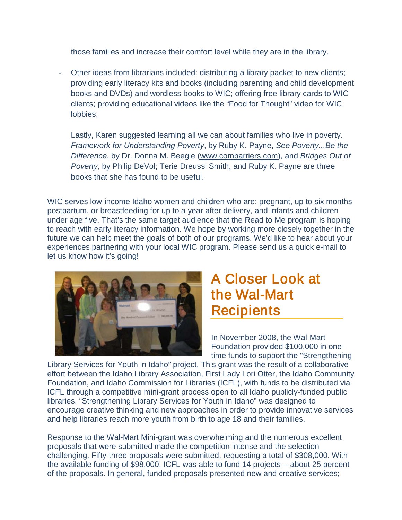those families and increase their comfort level while they are in the library.

Other ideas from librarians included: distributing a library packet to new clients; providing early literacy kits and books (including parenting and child development books and DVDs) and wordless books to WIC; offering free library cards to WIC clients; providing educational videos like the "Food for Thought" video for WIC lobbies.

Lastly, Karen suggested learning all we can about families who live in poverty. *Framework for Understanding Poverty*, by Ruby K. Payne, *See Poverty...Be the Difference*, by Dr. Donna M. Beegle [\(www.combarriers.com\)](http://www.combarriers.com/), and *Bridges Out of Poverty*, by Philip DeVol; Terie Dreussi Smith, and Ruby K. Payne are three books that she has found to be useful.

WIC serves low-income Idaho women and children who are: pregnant, up to six months postpartum, or breastfeeding for up to a year after delivery, and infants and children under age five. That's the same target audience that the Read to Me program is hoping to reach with early literacy information. We hope by working more closely together in the future we can help meet the goals of both of our programs. We'd like to hear about your experiences partnering with your local WIC program. Please send us a quick e-mail to let us know how it's going!



### A Closer Look at the Wal-Mart **Recipients**

In November 2008, the Wal-Mart Foundation provided \$100,000 in onetime funds to support the "Strengthening

Library Services for Youth in Idaho" project. This grant was the result of a collaborative effort between the Idaho Library Association, First Lady Lori Otter, the Idaho Community Foundation, and Idaho Commission for Libraries (ICFL), with funds to be distributed via ICFL through a competitive mini-grant process open to all Idaho publicly-funded public libraries. "Strengthening Library Services for Youth in Idaho" was designed to encourage creative thinking and new approaches in order to provide innovative services and help libraries reach more youth from birth to age 18 and their families.

Response to the Wal-Mart Mini-grant was overwhelming and the numerous excellent proposals that were submitted made the competition intense and the selection challenging. Fifty-three proposals were submitted, requesting a total of \$308,000. With the available funding of \$98,000, ICFL was able to fund 14 projects -- about 25 percent of the proposals. In general, funded proposals presented new and creative services;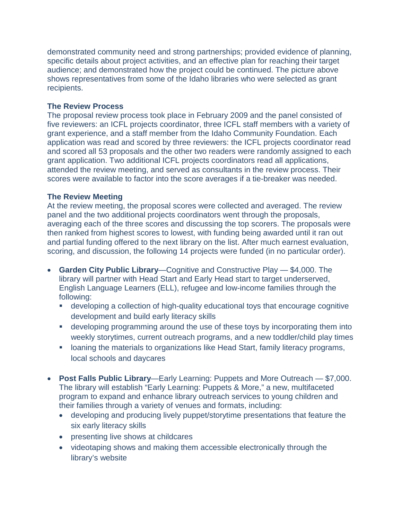demonstrated community need and strong partnerships; provided evidence of planning, specific details about project activities, and an effective plan for reaching their target audience; and demonstrated how the project could be continued. The picture above shows representatives from some of the Idaho libraries who were selected as grant recipients.

#### **The Review Process**

The proposal review process took place in February 2009 and the panel consisted of five reviewers: an ICFL projects coordinator, three ICFL staff members with a variety of grant experience, and a staff member from the Idaho Community Foundation. Each application was read and scored by three reviewers: the ICFL projects coordinator read and scored all 53 proposals and the other two readers were randomly assigned to each grant application. Two additional ICFL projects coordinators read all applications, attended the review meeting, and served as consultants in the review process. Their scores were available to factor into the score averages if a tie-breaker was needed.

#### **The Review Meeting**

At the review meeting, the proposal scores were collected and averaged. The review panel and the two additional projects coordinators went through the proposals, averaging each of the three scores and discussing the top scorers. The proposals were then ranked from highest scores to lowest, with funding being awarded until it ran out and partial funding offered to the next library on the list. After much earnest evaluation, scoring, and discussion, the following 14 projects were funded (in no particular order).

- **Garden City Public Library**—Cognitive and Constructive Play \$4,000. The library will partner with Head Start and Early Head start to target underserved, English Language Learners (ELL), refugee and low-income families through the following:
	- developing a collection of high-quality educational toys that encourage cognitive development and build early literacy skills
	- developing programming around the use of these toys by incorporating them into weekly storytimes, current outreach programs, and a new toddler/child play times
	- **Example 1** loaning the materials to organizations like Head Start, family literacy programs, local schools and daycares
- **Post Falls Public Library**—Early Learning: Puppets and More Outreach \$7,000. The library will establish "Early Learning: Puppets & More," a new, multifaceted program to expand and enhance library outreach services to young children and their families through a variety of venues and formats, including:
	- developing and producing lively puppet/storytime presentations that feature the six early literacy skills
	- presenting live shows at childcares
	- videotaping shows and making them accessible electronically through the library's website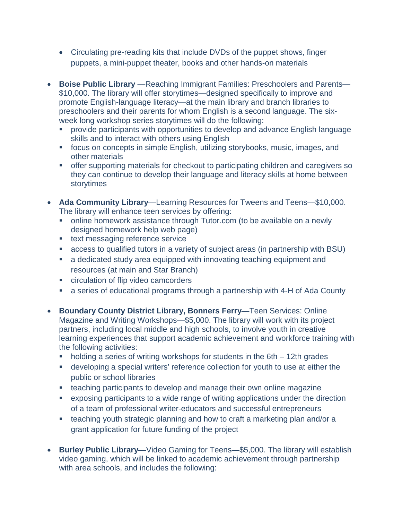- Circulating pre-reading kits that include DVDs of the puppet shows, finger puppets, a mini-puppet theater, books and other hands-on materials
- **Boise Public Library** —Reaching Immigrant Families: Preschoolers and Parents— \$10,000. The library will offer storytimes—designed specifically to improve and promote English-language literacy—at the main library and branch libraries to preschoolers and their parents for whom English is a second language. The sixweek long workshop series storytimes will do the following:
	- provide participants with opportunities to develop and advance English language skills and to interact with others using English
	- focus on concepts in simple English, utilizing storybooks, music, images, and other materials
	- offer supporting materials for checkout to participating children and caregivers so they can continue to develop their language and literacy skills at home between storytimes
- **Ada Community Library**—Learning Resources for Tweens and Teens—\$10,000. The library will enhance teen services by offering:
	- online homework assistance through Tutor.com (to be available on a newly designed homework help web page)
	- **text messaging reference service**
	- access to qualified tutors in a variety of subject areas (in partnership with BSU)
	- a dedicated study area equipped with innovating teaching equipment and resources (at main and Star Branch)
	- **EXEC** circulation of flip video camcorders
	- a series of educational programs through a partnership with 4-H of Ada County
- **Boundary County District Library, Bonners Ferry**—Teen Services: Online Magazine and Writing Workshops—\$5,000. The library will work with its project partners, including local middle and high schools, to involve youth in creative learning experiences that support academic achievement and workforce training with the following activities:
	- holding a series of writing workshops for students in the 6th 12th grades
	- developing a special writers' reference collection for youth to use at either the public or school libraries
	- **EXE** teaching participants to develop and manage their own online magazine
	- exposing participants to a wide range of writing applications under the direction of a team of professional writer-educators and successful entrepreneurs
	- **theaching youth strategic planning and how to craft a marketing plan and/or a** grant application for future funding of the project
- **Burley Public Library**—Video Gaming for Teens—\$5,000. The library will establish video gaming, which will be linked to academic achievement through partnership with area schools, and includes the following: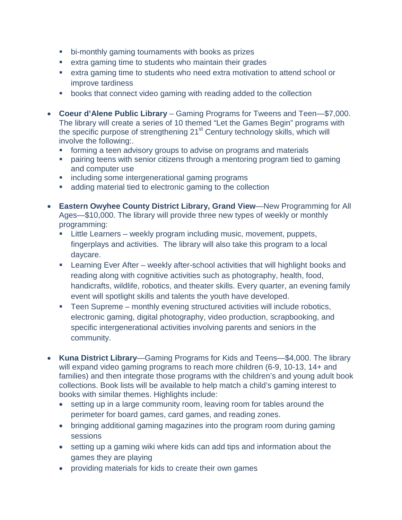- bi-monthly gaming tournaments with books as prizes
- extra gaming time to students who maintain their grades
- extra gaming time to students who need extra motivation to attend school or improve tardiness
- **•** books that connect video gaming with reading added to the collection
- **Coeur d'Alene Public Library** Gaming Programs for Tweens and Teen—\$7,000. The library will create a series of 10 themed "Let the Games Begin" programs with the specific purpose of strengthening 21<sup>st</sup> Century technology skills, which will involve the following:.
	- **forming a teen advisory groups to advise on programs and materials**
	- pairing teens with senior citizens through a mentoring program tied to gaming and computer use
	- **·** including some intergenerational gaming programs
	- **adding material tied to electronic gaming to the collection**
- **Eastern Owyhee County District Library, Grand View**—New Programming for All Ages—\$10,000. The library will provide three new types of weekly or monthly programming:
	- **EXECT:** Little Learners weekly program including music, movement, puppets, fingerplays and activities. The library will also take this program to a local daycare.
	- Learning Ever After weekly after-school activities that will highlight books and reading along with cognitive activities such as photography, health, food, handicrafts, wildlife, robotics, and theater skills. Every quarter, an evening family event will spotlight skills and talents the youth have developed.
	- Teen Supreme monthly evening structured activities will include robotics, electronic gaming, digital photography, video production, scrapbooking, and specific intergenerational activities involving parents and seniors in the community.
- **Kuna District Library**—Gaming Programs for Kids and Teens—\$4,000. The library will expand video gaming programs to reach more children (6-9, 10-13, 14+ and families) and then integrate those programs with the children's and young adult book collections. Book lists will be available to help match a child's gaming interest to books with similar themes. Highlights include:
	- setting up in a large community room, leaving room for tables around the perimeter for board games, card games, and reading zones.
	- bringing additional gaming magazines into the program room during gaming sessions
	- setting up a gaming wiki where kids can add tips and information about the games they are playing
	- providing materials for kids to create their own games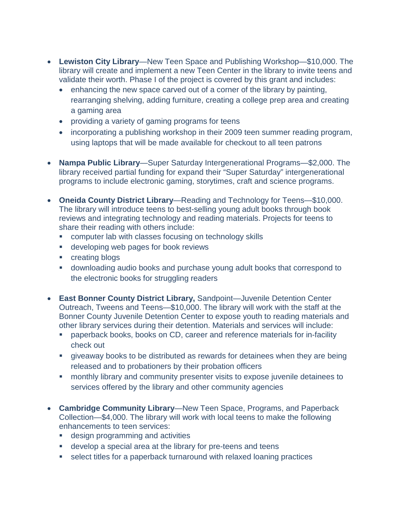- **Lewiston City Library**—New Teen Space and Publishing Workshop—\$10,000. The library will create and implement a new Teen Center in the library to invite teens and validate their worth. Phase I of the project is covered by this grant and includes:
	- enhancing the new space carved out of a corner of the library by painting, rearranging shelving, adding furniture, creating a college prep area and creating a gaming area
	- providing a variety of gaming programs for teens
	- incorporating a publishing workshop in their 2009 teen summer reading program, using laptops that will be made available for checkout to all teen patrons
- **Nampa Public Library**—Super Saturday Intergenerational Programs—\$2,000. The library received partial funding for expand their "Super Saturday" intergenerational programs to include electronic gaming, storytimes, craft and science programs.
- **Oneida County District Library**—Reading and Technology for Teens—\$10,000. The library will introduce teens to best-selling young adult books through book reviews and integrating technology and reading materials. Projects for teens to share their reading with others include:
	- computer lab with classes focusing on technology skills
	- **developing web pages for book reviews**
	- **•** creating blogs
	- downloading audio books and purchase young adult books that correspond to the electronic books for struggling readers
- **East Bonner County District Library,** Sandpoint—Juvenile Detention Center Outreach, Tweens and Teens—\$10,000. The library will work with the staff at the Bonner County Juvenile Detention Center to expose youth to reading materials and other library services during their detention. Materials and services will include:
	- paperback books, books on CD, career and reference materials for in-facility check out
	- giveaway books to be distributed as rewards for detainees when they are being released and to probationers by their probation officers
	- monthly library and community presenter visits to expose juvenile detainees to services offered by the library and other community agencies
- **Cambridge Community Library**—New Teen Space, Programs, and Paperback Collection—\$4,000. The library will work with local teens to make the following enhancements to teen services:
	- **design programming and activities**
	- develop a special area at the library for pre-teens and teens
	- select titles for a paperback turnaround with relaxed loaning practices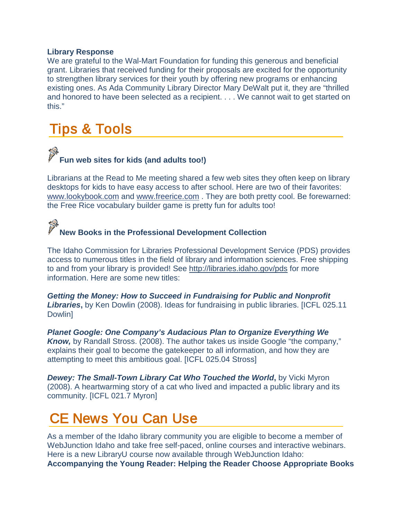#### **Library Response**

We are grateful to the Wal-Mart Foundation for funding this generous and beneficial grant. Libraries that received funding for their proposals are excited for the opportunity to strengthen library services for their youth by offering new programs or enhancing existing ones. As Ada Community Library Director Mary DeWalt put it, they are "thrilled and honored to have been selected as a recipient. . . . We cannot wait to get started on this."

### <span id="page-21-0"></span>Tips & Tools

# **Fun web sites for kids (and adults too!)**

Librarians at the Read to Me meeting shared a few web sites they often keep on library desktops for kids to have easy access to after school. Here are two of their favorites: [www.lookybook.com](http://www.lookybook.com/) and [www.freerice.com](http://www.freerice.com/) . They are both pretty cool. Be forewarned: the Free Rice vocabulary builder game is pretty fun for adults too!

## **New Books in the Professional Development Collection**

The Idaho Commission for Libraries Professional Development Service (PDS) provides access to numerous titles in the field of library and information sciences. Free shipping to and from your library is provided! See<http://libraries.idaho.gov/pds> for more information. Here are some new titles:

*Getting the Money: How to Succeed in Fundraising for Public and Nonprofit Libraries***,** by Ken Dowlin (2008). Ideas for fundraising in public libraries. [ICFL 025.11 Dowlin]

*Planet Google: One Company's Audacious Plan to Organize Everything We Know,* by Randall Stross. (2008). The author takes us inside Google "the company," explains their goal to become the gatekeeper to all information, and how they are attempting to meet this ambitious goal. [ICFL 025.04 Stross]

*Dewey: The Small-Town Library Cat Who Touched the World***,** by Vicki Myron (2008). A heartwarming story of a cat who lived and impacted a public library and its community. [ICFL 021.7 Myron]

### <span id="page-21-1"></span>CE News You Can Use

As a member of the Idaho library community you are eligible to become a member of WebJunction Idaho and take free self-paced, online courses and interactive webinars. Here is a new LibraryU course now available through WebJunction Idaho: **Accompanying the Young Reader: Helping the Reader Choose Appropriate Books**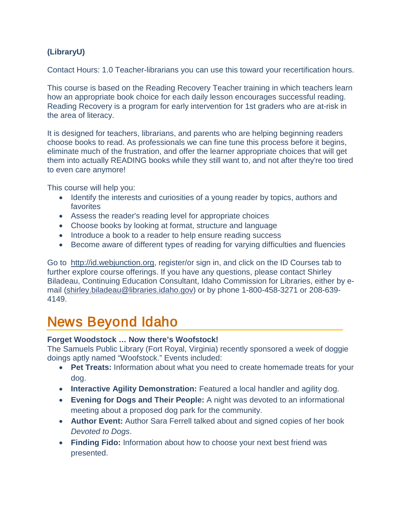### **(LibraryU)**

Contact Hours: 1.0 Teacher-librarians you can use this toward your recertification hours.

This course is based on the Reading Recovery Teacher training in which teachers learn how an appropriate book choice for each daily lesson encourages successful reading. Reading Recovery is a program for early intervention for 1st graders who are at-risk in the area of literacy.

It is designed for teachers, librarians, and parents who are helping beginning readers choose books to read. As professionals we can fine tune this process before it begins, eliminate much of the frustration, and offer the learner appropriate choices that will get them into actually READING books while they still want to, and not after they're too tired to even care anymore!

This course will help you:

- Identify the interests and curiosities of a young reader by topics, authors and favorites
- Assess the reader's reading level for appropriate choices
- Choose books by looking at format, structure and language
- Introduce a book to a reader to help ensure reading success
- Become aware of different types of reading for varying difficulties and fluencies

Go to [http://id.webjunction.org,](http://id.webjunction.org/) register/or sign in, and click on the ID Courses tab to further explore course offerings. If you have any questions, please contact Shirley Biladeau, Continuing Education Consultant, Idaho Commission for Libraries, either by email [\(shirley.biladeau@libraries.idaho.gov\)](mailto:shirley.biladeau@libraries.idaho.gov) or by phone 1-800-458-3271 or 208-639- 4149.

### <span id="page-22-0"></span>News Beyond Idaho

#### **Forget Woodstock … Now there's Woofstock!**

The Samuels Public Library (Fort Royal, Virginia) recently sponsored a week of doggie doings aptly named "Woofstock." Events included:

- **Pet Treats:** Information about what you need to create homemade treats for your dog.
- **Interactive Agility Demonstration:** Featured a local handler and agility dog.
- **Evening for Dogs and Their People:** A night was devoted to an informational meeting about a proposed dog park for the community.
- **Author Event:** Author Sara Ferrell talked about and signed copies of her book *Devoted to Dogs*.
- **Finding Fido:** Information about how to choose your next best friend was presented.